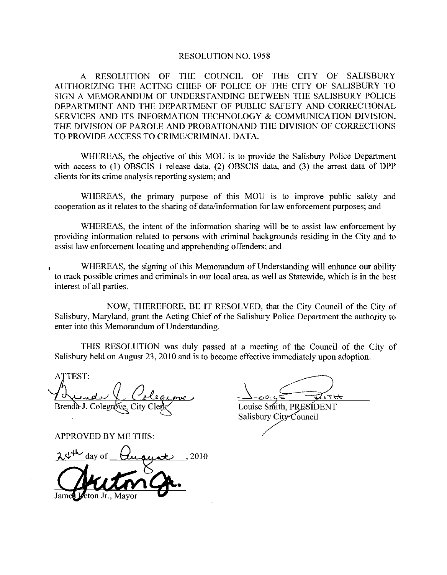### RESOLUTION NO. 1958

A RESOLUTION OF THE COUNCIL OF THE CITY OF SALISBURY AUTHORIZING THE ACTING CHIEF OF POLICE OF THE CITY OF SALISBURY TO SIGN A MEMORANDUM OF UNDERSTANDING BETWEEN THE SALISBURY POLICE DEPARTMENT AND THE DEPARTMENT OF PUBLIC SAFETY AND CORRECTIONAL SERVICES AND ITS INFORMATION TECHNOLOGY & COMMUNICATION DIVISION, THE DIVISION OF PAROLE AND PROBATIONAND THE DIVISION OF CORRECTIONS<br>TO PROVIDE ACCESS TO CRIME/CRIMINAL DATA.

WHEREAS, the objective of this MOU is to provide the Salisbury Police Department with access to  $(1)$  OBSCIS 1 release data,  $(2)$  OBSCIS data, and  $(3)$  the arrest data of DPP clients for its crime analysis reporting system; and

WHEREAS, the primary purpose of this MOU is to improve public safety and cooperation as it relates to the sharing of data/information for law enforcement purposes; and

WHEREAS, the intent of the information sharing will be to assist law enforcement by providing information related to persons with criminal backgrounds residing in the City and to assist law enforcement locating and apprehending offenders; and

WHEREAS, the signing of this Memorandum of Understanding will enhance our ability to track possible crimes and criminals in our local area, as well as Statewide, which is in the best interest of all parties

NOW, THEREFORE, BE IT RESOLVED, that the City Council of the City of Salisbury, Maryland, grant the Acting Chief of the Salisbury Police Department the authority to enter into this Memorandum of Understanding.

THIS RESOLUTION was duly passed at a meeting of the Council of the City of

Salisbury held on August 23, 2010 and is to become effective immediately upon adoption.<br>
ATTEST:<br>
ALLALL Colegrove, City Clerk Louise Smith, PRESIDENT ATTEST: Brenda J. Colegrove, City Clerk Louise Smith, PRESIDENT

APPROVED BY ME THIS

day of <sup>2010</sup>

Salisbury City Council

James Jeton Jr., Mayor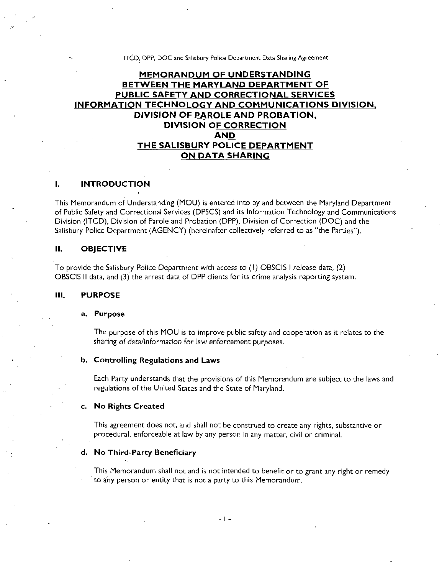#### ITCD, DPP, DOC and Salisbury Police Department Data Sharing Agreement

# MEMORANDUM OF UNDERSTANDING BETWEEN THE MARYLAND DEPARTMENT OF PUBLIC SAFETY AND CORRECTIONAL SERVICES INFORMATION TECHNOLOGY AND COMMUNICATIONS DIVISION DIVISION OF PAROLE AND PROBATION DIVISION OF CORRECTION AND THE SALISBURY POLICE DEPARTMENT ON DATA SHARING

#### I. INTRODUCTION

This Memorandum of Understanding (MOU) is entered into by and between the Maryland Department of Public Safety and Correctional Services (DPSCS) and its Information Technology and Communications Division (ITCD), Division of Parole and Probation (DPP), Division of Correction (DOC) and the Salisbury Police Department (AGENCY) (hereinafter collectively referred to as "the Parties").

### 11 OBJECTIVE

To provide the Salisbury Police Department with access to  $(1)$  OBSCIS I release data,  $(2)$ OBSCIS II data, and (3) the arrest data of DPP clients for its crime analysis reporting system.

### III PURPOSE

#### a. Purpose

The purpose of this MOU is to improve public safety and cooperation as it relates to the The purpose of this MOU is to improve public safety and of sharing of data/information for law enforcement purposes.

### b. Controlling Regulations and Laws

Each Party understands that the provisions of this Memorandum are subject to the laws and regulations of the United States and the State of Maryland

#### c. No Rights Created

This agreement does not, and shall not be construed to create any rights, substantive or procedural, enforceable at law by any person in any matter, civil or criminal.

#### d. No Third-Party Beneficiary

This Memorandum shall not and is not intended to benefit or to grant any right or remedy to any person or entity that is not a party to this Memorandum.

 $-1-$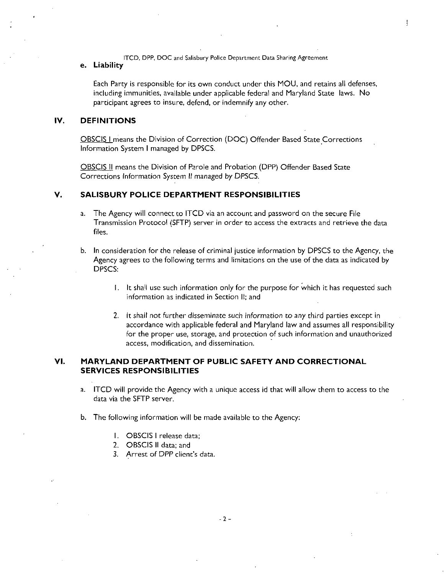ITCD, DPP, DOC and Salisbury Police Department Data Sharing Agreement

### e. Liability

Each Party is responsible for its own conduct under this MOU and retains all defenses including immunities, available under applicable federal and Maryland State laws. No participant agrees to insure, defend, or indemnify any other.

 $\overline{\mathfrak{l}}$ 

### IV. DEFINITIONS

OBSCIS I means the Division of Correction (DOC) Offender Based State Corrections Information System <sup>I</sup> managed by DPSCS

OBSCIS II means the Division of Parole and Probation DPP Offender Based State Corrections Information System II managed by DPSCS

### V. SALISBURY POLICE DEPARTMENT RESPONSIBILITIES

- a. The Agency will connect to ITCD via an account and password on the secure File Transmission Protocol (SFTP) server in order to access the extracts and retrieve the data fles
- b. In consideration for the release of criminal justice information by DPSCS to the Agency, the Agency agrees to the following terms and limitations on the use of the data as indicated by DPSCS:
	- It shall use such information only for the purpose for which it has requested such information as indicated in Section II; and
	- 2. It shall not further disseminate such information to any third parties except in accordance with applicable federal and Maryland law and assumes all responsibility for the proper use, storage, and protection of such information and unauthorized access, modification, and dissemination.

## VI. MARYLAND DEPARTMENT OF PUBLIC SAFETY AND CORRECTIONAL SERVICES RESPONSIBILITIES

- a. ITCD will provide the Agency with a unique access id that will allow them to access to the data via the SFTP server
- b. The following information will be made available to the Agency:
	- I. OBSCIS I release data:
	- 2. OBSCIS II data; and
	- 3. Arrest of DPP client's data.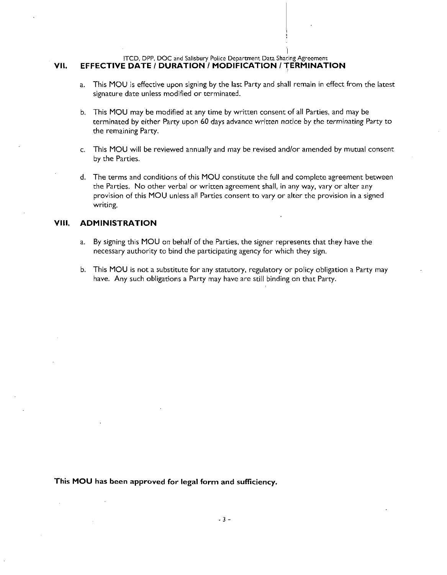### ITCD, DPP, DOC and Salisbury Police Department Data Sharing Agreement VII. EFFECTIVE DATE / DURATION / MODIFICATION / TERMINATION

- a. This MOU is effective upon signing by the last Party and shall remain in effect from the latest signature date unless modified or terminated.
- b. This MOU may be modified at any time by written consent of all Parties, and may be terminated by either Party upon <sup>60</sup> days advance written notice by the terminating Party to the remaining Party
- c. This MOU will be reviewed annually and may be revised and/or amended by mutual consent by the Parties
- d. The terms and conditions of this MOU constitute the full and complete agreement between the Parties. No other verbal or written agreement shall, in any way, vary or alter any provision of this MOU unless all Parties consent to vary or alter the provision in <sup>a</sup> signed writing

## **VIII. ADMINISTRATION**

- a. By signing this MOU on behalf of the Parties, the signer represents that they have the necessary authority to bind the participating agency for which they sign
- b. This MOU is not a substitute for any statutory, regulatory or policy obligation a Party may have. Any such obligations a Party may have are still binding on that Party.

This MOU has been approved for legal form and sufficiency.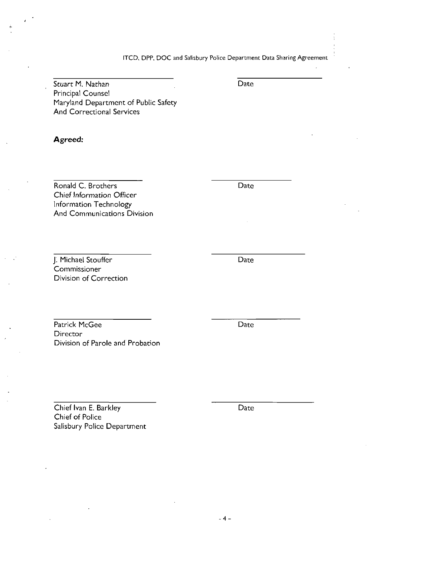ITCD, DPP, DOC and Salisbury Police Department Data Sharing Agreement

Stuart M. Nathan Date Principal Counsel Maryland Department of Public Safety And Correctional Services

Agreed

Ronald C. Brothers Date Chief Information Officer Information Technology And Communications Division

J. Michael Stouffer **Commissioner** Division of Correction

Patrick McGee Date **Director** Division of Parole and Probation

Chief Ivan E. Barkley Date Chief of Police Salisbury Police Department

Date

 $-4-$